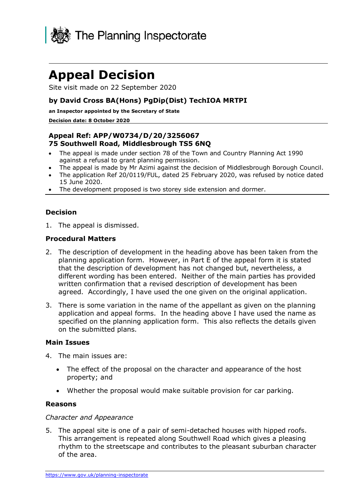

# **Appeal Decision**

Site visit made on 22 September 2020

## **by David Cross BA(Hons) PgDip(Dist) TechIOA MRTPI**

**an Inspector appointed by the Secretary of State**

#### **Decision date: 8 October 2020**

# **Appeal Ref: APP/W0734/D/20/3256067 75 Southwell Road, Middlesbrough TS5 6NQ**

- The appeal is made under section 78 of the Town and Country Planning Act 1990 against a refusal to grant planning permission.
- The appeal is made by Mr Azimi against the decision of Middlesbrough Borough Council.
- The application Ref 20/0119/FUL, dated 25 February 2020, was refused by notice dated 15 June 2020.
- The development proposed is two storey side extension and dormer.

## **Decision**

1. The appeal is dismissed.

#### **Procedural Matters**

- 2. The description of development in the heading above has been taken from the planning application form. However, in Part E of the appeal form it is stated that the description of development has not changed but, nevertheless, a different wording has been entered. Neither of the main parties has provided written confirmation that a revised description of development has been agreed. Accordingly, I have used the one given on the original application.
- 3. There is some variation in the name of the appellant as given on the planning application and appeal forms. In the heading above I have used the name as specified on the planning application form. This also reflects the details given on the submitted plans.

#### **Main Issues**

- 4. The main issues are:
	- The effect of the proposal on the character and appearance of the host property; and
	- Whether the proposal would make suitable provision for car parking.

#### **Reasons**

#### *Character and Appearance*

5. The appeal site is one of a pair of semi-detached houses with hipped roofs. This arrangement is repeated along Southwell Road which gives a pleasing rhythm to the streetscape and contributes to the pleasant suburban character of the area.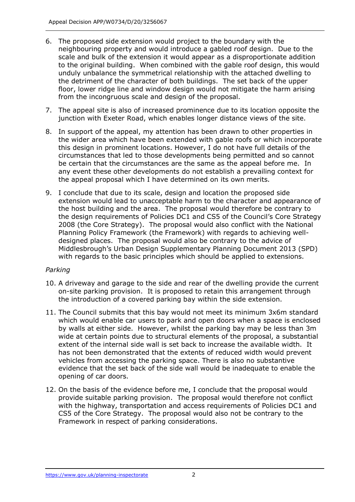- 6. The proposed side extension would project to the boundary with the neighbouring property and would introduce a gabled roof design. Due to the scale and bulk of the extension it would appear as a disproportionate addition to the original building. When combined with the gable roof design, this would unduly unbalance the symmetrical relationship with the attached dwelling to the detriment of the character of both buildings. The set back of the upper floor, lower ridge line and window design would not mitigate the harm arising from the incongruous scale and design of the proposal.
- 7. The appeal site is also of increased prominence due to its location opposite the junction with Exeter Road, which enables longer distance views of the site.
- 8. In support of the appeal, my attention has been drawn to other properties in the wider area which have been extended with gable roofs or which incorporate this design in prominent locations. However, I do not have full details of the circumstances that led to those developments being permitted and so cannot be certain that the circumstances are the same as the appeal before me. In any event these other developments do not establish a prevailing context for the appeal proposal which I have determined on its own merits.
- 9. I conclude that due to its scale, design and location the proposed side extension would lead to unacceptable harm to the character and appearance of the host building and the area. The proposal would therefore be contrary to the design requirements of Policies DC1 and CS5 of the Council's Core Strategy 2008 (the Core Strategy). The proposal would also conflict with the National Planning Policy Framework (the Framework) with regards to achieving welldesigned places. The proposal would also be contrary to the advice of Middlesbrough's Urban Design Supplementary Planning Document 2013 (SPD) with regards to the basic principles which should be applied to extensions.

## *Parking*

- 10. A driveway and garage to the side and rear of the dwelling provide the current on-site parking provision. It is proposed to retain this arrangement through the introduction of a covered parking bay within the side extension.
- 11. The Council submits that this bay would not meet its minimum 3x6m standard which would enable car users to park and open doors when a space is enclosed by walls at either side. However, whilst the parking bay may be less than 3m wide at certain points due to structural elements of the proposal, a substantial extent of the internal side wall is set back to increase the available width. It has not been demonstrated that the extents of reduced width would prevent vehicles from accessing the parking space. There is also no substantive evidence that the set back of the side wall would be inadequate to enable the opening of car doors.
- 12. On the basis of the evidence before me, I conclude that the proposal would provide suitable parking provision. The proposal would therefore not conflict with the highway, transportation and access requirements of Policies DC1 and CS5 of the Core Strategy. The proposal would also not be contrary to the Framework in respect of parking considerations.